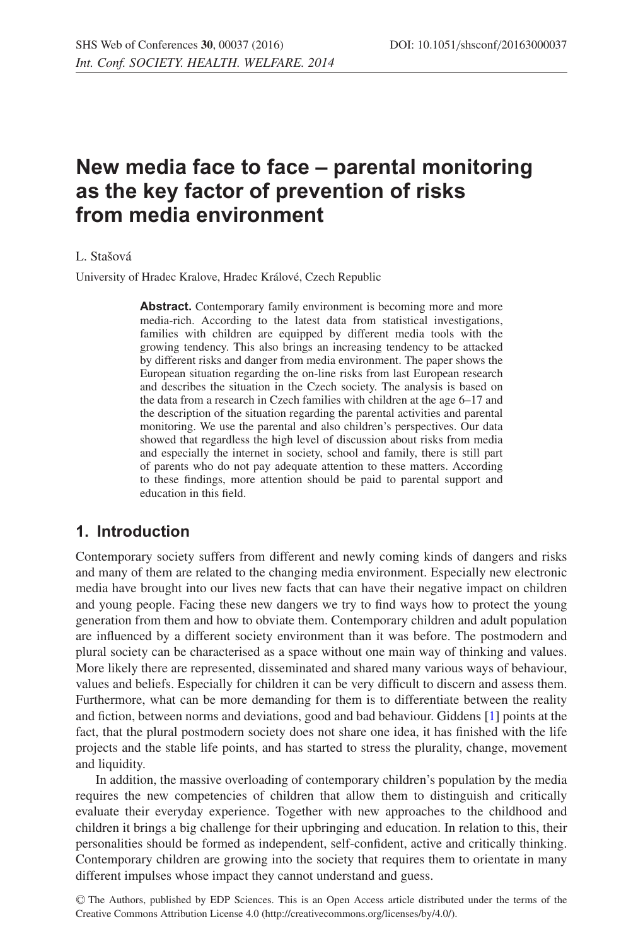# **New media face to face – parental monitoring as the key factor of prevention of risks from media environment**

#### L. Stašová

University of Hradec Kralove, Hradec Králové, Czech Republic

Abstract. Contemporary family environment is becoming more and more media-rich. According to the latest data from statistical investigations, families with children are equipped by different media tools with the growing tendency. This also brings an increasing tendency to be attacked by different risks and danger from media environment. The paper shows the European situation regarding the on-line risks from last European research and describes the situation in the Czech society. The analysis is based on the data from a research in Czech families with children at the age 6–17 and the description of the situation regarding the parental activities and parental monitoring. We use the parental and also children's perspectives. Our data showed that regardless the high level of discussion about risks from media and especially the internet in society, school and family, there is still part of parents who do not pay adequate attention to these matters. According to these findings, more attention should be paid to parental support and education in this field.

## **1. Introduction**

Contemporary society suffers from different and newly coming kinds of dangers and risks and many of them are related to the changing media environment. Especially new electronic media have brought into our lives new facts that can have their negative impact on children and young people. Facing these new dangers we try to find ways how to protect the young generation from them and how to obviate them. Contemporary children and adult population are influenced by a different society environment than it was before. The postmodern and plural society can be characterised as a space without one main way of thinking and values. More likely there are represented, disseminated and shared many various ways of behaviour, values and beliefs. Especially for children it can be very difficult to discern and assess them. Furthermore, what can be more demanding for them is to differentiate between the reality and fiction, between norms and deviations, good and bad behaviour. Giddens [\[1](#page-4-0)] points at the fact, that the plural postmodern society does not share one idea, it has finished with the life projects and the stable life points, and has started to stress the plurality, change, movement and liquidity.

In addition, the massive overloading of contemporary children's population by the media requires the new competencies of children that allow them to distinguish and critically evaluate their everyday experience. Together with new approaches to the childhood and children it brings a big challenge for their upbringing and education. In relation to this, their personalities should be formed as independent, self-confident, active and critically thinking. Contemporary children are growing into the society that requires them to orientate in many different impulses whose impact they cannot understand and guess.

<sup>C</sup> The Authors, published by EDP Sciences. This is an Open Access article distributed under the terms of the Creative Commons Attribution License 4.0 (http://creativecommons.org/licenses/by/4.0/).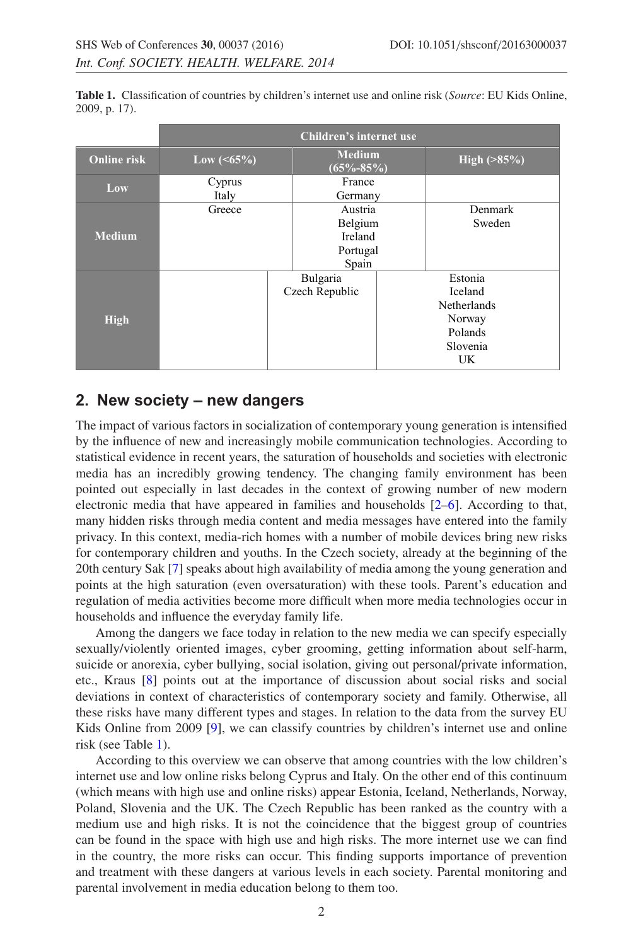<span id="page-1-0"></span>**Table 1.** Classification of countries by children's internet use and online risk (*Source*: EU Kids Online, 2009, p. 17).

|                    | Children's internet use |  |                                  |  |                           |
|--------------------|-------------------------|--|----------------------------------|--|---------------------------|
| <b>Online risk</b> | Low $(65%)$             |  | <b>Medium</b><br>$(65\% - 85\%)$ |  | High $(>\!\!\sqrt{85\%})$ |
| Low                | Cyprus                  |  | France                           |  |                           |
|                    | Italy                   |  | Germany                          |  |                           |
| <b>Medium</b>      | Greece                  |  | Austria                          |  | Denmark                   |
|                    |                         |  | Belgium                          |  | Sweden                    |
|                    |                         |  | Ireland                          |  |                           |
|                    |                         |  | Portugal                         |  |                           |
|                    |                         |  | Spain                            |  |                           |
| <b>High</b>        |                         |  | Bulgaria                         |  | Estonia                   |
|                    |                         |  | Czech Republic                   |  | <b>Iceland</b>            |
|                    |                         |  |                                  |  | Netherlands               |
|                    |                         |  |                                  |  | Norway                    |
|                    |                         |  |                                  |  | Polands                   |
|                    |                         |  |                                  |  | Slovenia                  |
|                    |                         |  |                                  |  | UK                        |
|                    |                         |  |                                  |  |                           |

### **2. New society – new dangers**

The impact of various factors in socialization of contemporary young generation is intensified by the influence of new and increasingly mobile communication technologies. According to statistical evidence in recent years, the saturation of households and societies with electronic media has an incredibly growing tendency. The changing family environment has been pointed out especially in last decades in the context of growing number of new modern electronic media that have appeared in families and households [\[2](#page-4-1)[–6\]](#page-4-2). According to that, many hidden risks through media content and media messages have entered into the family privacy. In this context, media-rich homes with a number of mobile devices bring new risks for contemporary children and youths. In the Czech society, already at the beginning of the 20th century Sak [\[7](#page-4-3)] speaks about high availability of media among the young generation and points at the high saturation (even oversaturation) with these tools. Parent's education and regulation of media activities become more difficult when more media technologies occur in households and influence the everyday family life.

Among the dangers we face today in relation to the new media we can specify especially sexually/violently oriented images, cyber grooming, getting information about self-harm, suicide or anorexia, cyber bullying, social isolation, giving out personal/private information, etc., Kraus [\[8\]](#page-4-4) points out at the importance of discussion about social risks and social deviations in context of characteristics of contemporary society and family. Otherwise, all these risks have many different types and stages. In relation to the data from the survey EU Kids Online from 2009 [\[9](#page-4-5)], we can classify countries by children's internet use and online risk (see Table [1\)](#page-1-0).

According to this overview we can observe that among countries with the low children's internet use and low online risks belong Cyprus and Italy. On the other end of this continuum (which means with high use and online risks) appear Estonia, Iceland, Netherlands, Norway, Poland, Slovenia and the UK. The Czech Republic has been ranked as the country with a medium use and high risks. It is not the coincidence that the biggest group of countries can be found in the space with high use and high risks. The more internet use we can find in the country, the more risks can occur. This finding supports importance of prevention and treatment with these dangers at various levels in each society. Parental monitoring and parental involvement in media education belong to them too.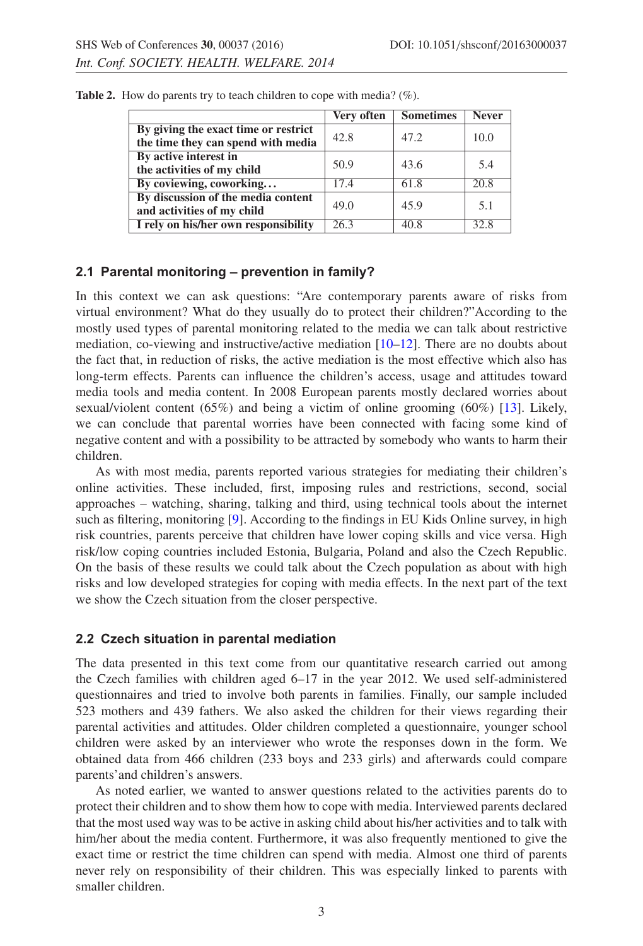|                                      | Very often | <b>Sometimes</b> | <b>Never</b> |
|--------------------------------------|------------|------------------|--------------|
| By giving the exact time or restrict | 42.8       | 47.2             | 10.0         |
| the time they can spend with media   |            |                  |              |
| By active interest in                | 50.9       | 43.6             | 5.4          |
| the activities of my child           |            |                  |              |
| By coviewing, coworking              | 17.4       | 61.8             | 20.8         |
| By discussion of the media content   | 49.0       | 45.9             | 5.1          |
| and activities of my child           |            |                  |              |
| I rely on his/her own responsibility | 26.3       | 40.8             | 32.8         |

**Table 2.** How do parents try to teach children to cope with media? (%).

#### **2.1 Parental monitoring – prevention in family?**

In this context we can ask questions: "Are contemporary parents aware of risks from virtual environment? What do they usually do to protect their children?"According to the mostly used types of parental monitoring related to the media we can talk about restrictive mediation, co-viewing and instructive/active mediation  $[10-12]$  $[10-12]$ . There are no doubts about the fact that, in reduction of risks, the active mediation is the most effective which also has long-term effects. Parents can influence the children's access, usage and attitudes toward media tools and media content. In 2008 European parents mostly declared worries about sexual/violent content (65%) and being a victim of online grooming (60%) [\[13\]](#page-5-2). Likely, we can conclude that parental worries have been connected with facing some kind of negative content and with a possibility to be attracted by somebody who wants to harm their children.

As with most media, parents reported various strategies for mediating their children's online activities. These included, first, imposing rules and restrictions, second, social approaches – watching, sharing, talking and third, using technical tools about the internet such as filtering, monitoring [\[9](#page-4-5)]. According to the findings in EU Kids Online survey, in high risk countries, parents perceive that children have lower coping skills and vice versa. High risk/low coping countries included Estonia, Bulgaria, Poland and also the Czech Republic. On the basis of these results we could talk about the Czech population as about with high risks and low developed strategies for coping with media effects. In the next part of the text we show the Czech situation from the closer perspective.

#### **2.2 Czech situation in parental mediation**

The data presented in this text come from our quantitative research carried out among the Czech families with children aged 6–17 in the year 2012. We used self-administered questionnaires and tried to involve both parents in families. Finally, our sample included 523 mothers and 439 fathers. We also asked the children for their views regarding their parental activities and attitudes. Older children completed a questionnaire, younger school children were asked by an interviewer who wrote the responses down in the form. We obtained data from 466 children (233 boys and 233 girls) and afterwards could compare parents'and children's answers.

As noted earlier, we wanted to answer questions related to the activities parents do to protect their children and to show them how to cope with media. Interviewed parents declared that the most used way was to be active in asking child about his/her activities and to talk with him/her about the media content. Furthermore, it was also frequently mentioned to give the exact time or restrict the time children can spend with media. Almost one third of parents never rely on responsibility of their children. This was especially linked to parents with smaller children.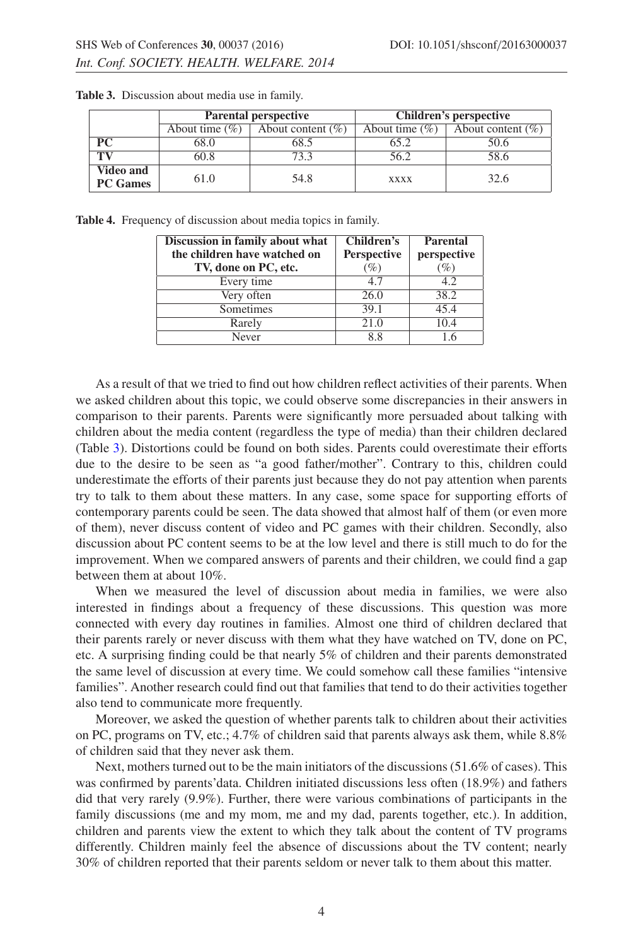|                              | <b>Parental perspective</b> |                       | <b>Children's perspective</b> |                       |  |
|------------------------------|-----------------------------|-----------------------|-------------------------------|-----------------------|--|
|                              | About time $(\%)$           | About content $(\% )$ | About time $(\% )$            | About content $(\% )$ |  |
| PС                           | 68.0                        | 68.5                  | 65.2                          | 50.6                  |  |
| ТV                           | 60.8                        | 73.3                  | 56.2                          | 58.6                  |  |
| Video and<br><b>PC</b> Games | 61.0                        | 54.8                  | <b>XXXX</b>                   | 32.6                  |  |

<span id="page-3-0"></span>**Table 3.** Discussion about media use in family.

**Table 4.** Frequency of discussion about media topics in family.

| Discussion in family about what | Children's         | <b>Parental</b> |
|---------------------------------|--------------------|-----------------|
| the children have watched on    | <b>Perspective</b> | perspective     |
| TV, done on PC, etc.            | $(\%)$             | $(\%)$          |
| Every time                      | 4.7                | 4.2             |
| Very often                      | 26.0               | 38.2            |
| Sometimes                       | 39.1               | 45.4            |
| Rarely                          | 21.0               | 10.4            |
| Never                           | 8.8                | 1.6             |

As a result of that we tried to find out how children reflect activities of their parents. When we asked children about this topic, we could observe some discrepancies in their answers in comparison to their parents. Parents were significantly more persuaded about talking with children about the media content (regardless the type of media) than their children declared (Table [3\)](#page-3-0). Distortions could be found on both sides. Parents could overestimate their efforts due to the desire to be seen as "a good father/mother". Contrary to this, children could underestimate the efforts of their parents just because they do not pay attention when parents try to talk to them about these matters. In any case, some space for supporting efforts of contemporary parents could be seen. The data showed that almost half of them (or even more of them), never discuss content of video and PC games with their children. Secondly, also discussion about PC content seems to be at the low level and there is still much to do for the improvement. When we compared answers of parents and their children, we could find a gap between them at about 10%.

When we measured the level of discussion about media in families, we were also interested in findings about a frequency of these discussions. This question was more connected with every day routines in families. Almost one third of children declared that their parents rarely or never discuss with them what they have watched on TV, done on PC, etc. A surprising finding could be that nearly 5% of children and their parents demonstrated the same level of discussion at every time. We could somehow call these families "intensive families". Another research could find out that families that tend to do their activities together also tend to communicate more frequently.

Moreover, we asked the question of whether parents talk to children about their activities on PC, programs on TV, etc.; 4.7% of children said that parents always ask them, while 8.8% of children said that they never ask them.

Next, mothers turned out to be the main initiators of the discussions (51.6% of cases). This was confirmed by parents'data. Children initiated discussions less often (18.9%) and fathers did that very rarely (9.9%). Further, there were various combinations of participants in the family discussions (me and my mom, me and my dad, parents together, etc.). In addition, children and parents view the extent to which they talk about the content of TV programs differently. Children mainly feel the absence of discussions about the TV content; nearly 30% of children reported that their parents seldom or never talk to them about this matter.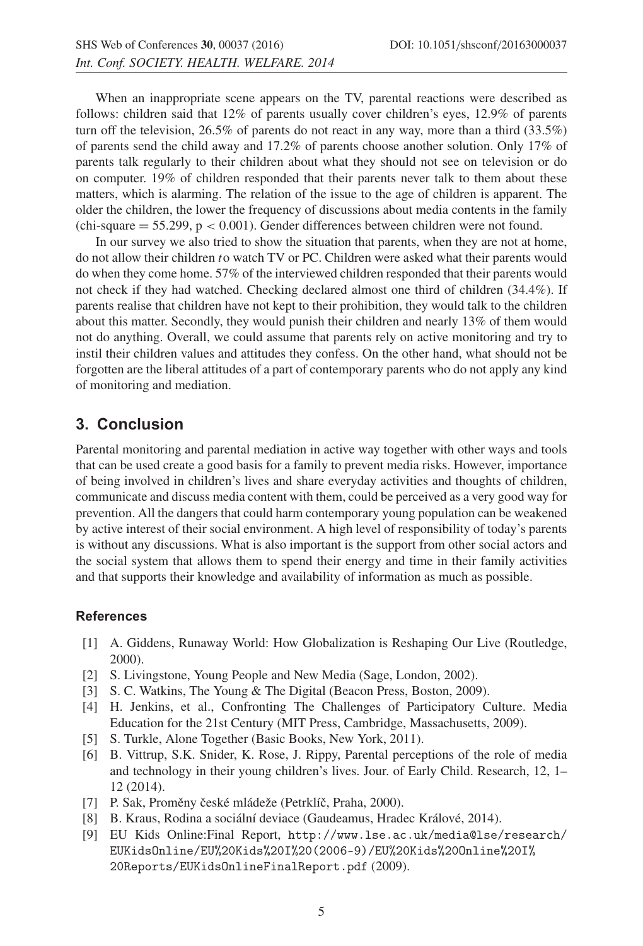When an inappropriate scene appears on the TV, parental reactions were described as follows: children said that 12% of parents usually cover children's eyes, 12.9% of parents turn off the television, 26.5% of parents do not react in any way, more than a third (33.5%) of parents send the child away and 17.2% of parents choose another solution. Only 17% of parents talk regularly to their children about what they should not see on television or do on computer. 19% of children responded that their parents never talk to them about these matters, which is alarming. The relation of the issue to the age of children is apparent. The older the children, the lower the frequency of discussions about media contents in the family (chi-square  $= 55.299$ ,  $p < 0.001$ ). Gender differences between children were not found.

In our survey we also tried to show the situation that parents, when they are not at home, do not allow their children to watch TV or PC. Children were asked what their parents would do when they come home. 57% of the interviewed children responded that their parents would not check if they had watched. Checking declared almost one third of children (34.4%). If parents realise that children have not kept to their prohibition, they would talk to the children about this matter. Secondly, they would punish their children and nearly 13% of them would not do anything. Overall, we could assume that parents rely on active monitoring and try to instil their children values and attitudes they confess. On the other hand, what should not be forgotten are the liberal attitudes of a part of contemporary parents who do not apply any kind of monitoring and mediation.

## **3. Conclusion**

Parental monitoring and parental mediation in active way together with other ways and tools that can be used create a good basis for a family to prevent media risks. However, importance of being involved in children's lives and share everyday activities and thoughts of children, communicate and discuss media content with them, could be perceived as a very good way for prevention. All the dangers that could harm contemporary young population can be weakened by active interest of their social environment. A high level of responsibility of today's parents is without any discussions. What is also important is the support from other social actors and the social system that allows them to spend their energy and time in their family activities and that supports their knowledge and availability of information as much as possible.

#### <span id="page-4-0"></span>**References**

- [1] A. Giddens, Runaway World: How Globalization is Reshaping Our Live (Routledge, 2000).
- <span id="page-4-1"></span>[2] S. Livingstone, Young People and New Media (Sage, London, 2002).
- [3] S. C. Watkins, The Young & The Digital (Beacon Press, Boston, 2009).
- [4] H. Jenkins, et al., Confronting The Challenges of Participatory Culture. Media Education for the 21st Century (MIT Press, Cambridge, Massachusetts, 2009).
- [5] S. Turkle, Alone Together (Basic Books, New York, 2011).
- <span id="page-4-2"></span>[6] B. Vittrup, S.K. Snider, K. Rose, J. Rippy, Parental perceptions of the role of media and technology in their young children's lives. Jour. of Early Child. Research, 12, 1– 12 (2014).
- <span id="page-4-3"></span>[7] P. Sak, Proměny české mládeže (Petrklíč, Praha, 2000).
- <span id="page-4-4"></span>[8] B. Kraus, Rodina a sociální deviace (Gaudeamus, Hradec Králové, 2014).
- <span id="page-4-5"></span>[9] EU Kids Online:Final Report, http://www.lse.ac.uk/media@lse/research/ EUKidsOnline/EU%20Kids%20I%20(2006-9)/EU%20Kids%20Online%20I% 20Reports/EUKidsOnlineFinalReport.pdf (2009).